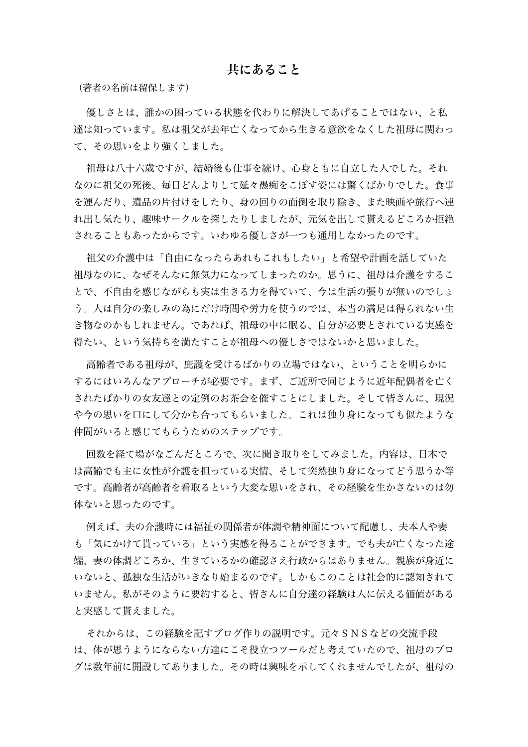## 共にあること

(著者の名前は留保します)

優しさとは、誰かの困っている状態を代わりに解決してあげることではない、と私 達は知っています。私は祖父が去年亡くなってから生きる意欲をなくした祖母に関わっ て、その思いをより強くしました。

祖母は八十六歳ですが、結婚後も仕事を続け、心身ともに自立した人でした。それ なのに祖父の死後、毎日どんよりして延々愚痴をこぼす姿には驚くばかりでした。食事 を運んだり、遺品の片付けをしたり、身の回りの面倒を取り除き、また映画や旅行へ連 れ出し気たり、趣味サークルを探したりしましたが、元気を出して貰えるどころか拒絶 されることもあったからです。いわゆる優しさが一つも通用しなかったのです。

祖父の介護中は「自由になったらあれもこれもしたい」と希望や計画を話していた 祖母なのに、なぜそんなに無気力になってしまったのか。思うに、祖母は介護をするこ とで、不自由を感じながらも実は生きる力を得ていて、今は生活の張りが無いのでしょ う。人は自分の楽しみの為にだけ時間や労力を使うのでは、本当の満足は得られない生 き物なのかもしれません。であれば、祖母の中に眠る、自分が必要とされている実感を 得たい、という気持ちを満たすことが祖母への優しさではないかと思いました。

高齢者である祖母が、庇護を受けるばかりの立場ではない、ということを明らかに するにはいろんなアプローチが必要です。まず、ご近所で同じように近年配偶者を亡く されたばかりの女友達との定例のお茶会を催すことにしました。そして皆さんに、現況 や今の思いを口にして分かち合ってもらいました。これは独り身になっても似たような 仲間がいると感じてもらうためのステップです。

回数を経て場がなごんだところで、次に聞き取りをしてみました。内容は、日本で は高齢でも主に女性が介護を担っている実情、そして突然独り身になってどう思うか等 です。高齢者が高齢者を看取るという大変な思いをされ、その経験を生かさないのは勿 体ないと思ったのです。

例えば、夫の介護時には福祉の関係者が体調や精神面について配慮し、夫本人や妻 も「気にかけて貰っている」という実感を得ることができます。でも夫が亡くなった途 端、妻の体調どころか、生きているかの確認さえ行政からはありません。親族が身近に いないと、孤独な生活がいきなり始まるのです。しかもこのことは社会的に認知されて いません。私がそのように要約すると、皆さんに自分達の経験は人に伝える価値がある と実感して貰えました。

それからは、この経験を記すブログ作りの説明です。元々SNSなどの交流手段 は、体が思うようにならない方達にこそ役立つツールだと考えていたので、祖母のブロ グは数年前に開設してありました。その時は興味を示してくれませんでしたが、祖母の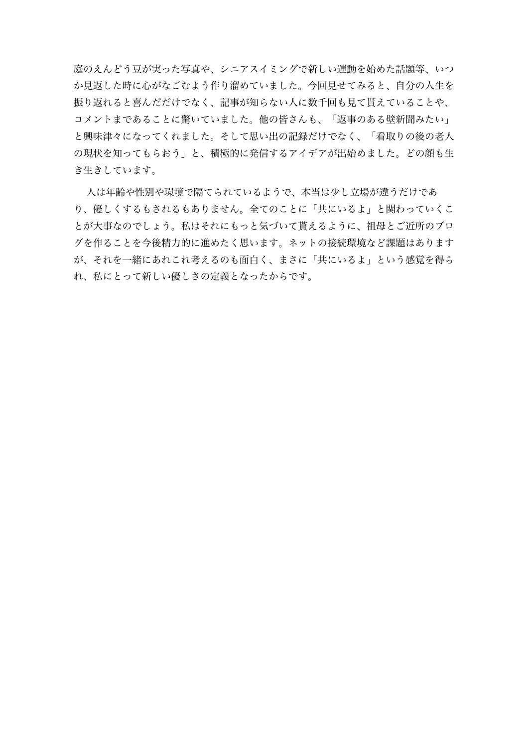庭のえんどう豆が実った写真や、シニアスイミングで新しい運動を始めた話題等、いつ か見返した時に心がなごむよう作り溜めていました。今回見せてみると、自分の人生を 振り返れると喜んだだけでなく、記事が知らない人に数千回も見て貰えていることや、 コメントまであることに驚いていました。他の皆さんも、「返事のある壁新聞みたい」 と興味津々になってくれました。そして思い出の記録だけでなく、「看取りの後の老人 の現状を知ってもらおう」と、積極的に発信するアイデアが出始めました。どの顔も生 き生きしています。

人は年齢や性別や環境で隔てられているようで、本当は少し立場が違うだけであ り、優しくするもされるもありません。全てのことに「共にいるよ」と関わっていくこ とが大事なのでしょう。私はそれにもっと気づいて貰えるように、祖母とご近所のブロ グを作ることを今後精力的に進めたく思います。ネットの接続環境など課題はあります が、それを一緒にあれこれ考えるのも面白く、まさに「共にいるよ」という感覚を得ら れ、私にとって新しい優しさの定義となったからです。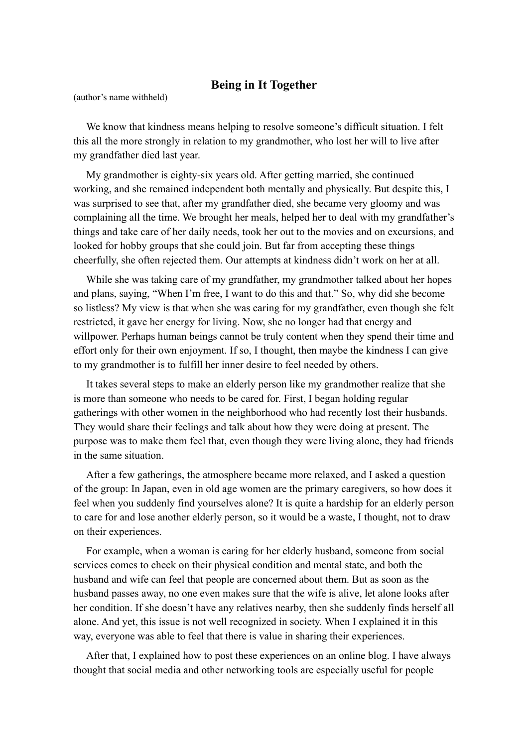## **Being in It Together**

(author's name withheld)

We know that kindness means helping to resolve someone's difficult situation. I felt this all the more strongly in relation to my grandmother, who lost her will to live after my grandfather died last year.

My grandmother is eighty-six years old. After getting married, she continued working, and she remained independent both mentally and physically. But despite this, I was surprised to see that, after my grandfather died, she became very gloomy and was complaining all the time. We brought her meals, helped her to deal with my grandfather's things and take care of her daily needs, took her out to the movies and on excursions, and looked for hobby groups that she could join. But far from accepting these things cheerfully, she often rejected them. Our attempts at kindness didn't work on her at all.

While she was taking care of my grandfather, my grandmother talked about her hopes and plans, saying, "When I'm free, I want to do this and that." So, why did she become so listless? My view is that when she was caring for my grandfather, even though she felt restricted, it gave her energy for living. Now, she no longer had that energy and willpower. Perhaps human beings cannot be truly content when they spend their time and effort only for their own enjoyment. If so, I thought, then maybe the kindness I can give to my grandmother is to fulfill her inner desire to feel needed by others.

It takes several steps to make an elderly person like my grandmother realize that she is more than someone who needs to be cared for. First, I began holding regular gatherings with other women in the neighborhood who had recently lost their husbands. They would share their feelings and talk about how they were doing at present. The purpose was to make them feel that, even though they were living alone, they had friends in the same situation.

After a few gatherings, the atmosphere became more relaxed, and I asked a question of the group: In Japan, even in old age women are the primary caregivers, so how does it feel when you suddenly find yourselves alone? It is quite a hardship for an elderly person to care for and lose another elderly person, so it would be a waste, I thought, not to draw on their experiences.

For example, when a woman is caring for her elderly husband, someone from social services comes to check on their physical condition and mental state, and both the husband and wife can feel that people are concerned about them. But as soon as the husband passes away, no one even makes sure that the wife is alive, let alone looks after her condition. If she doesn't have any relatives nearby, then she suddenly finds herself all alone. And yet, this issue is not well recognized in society. When I explained it in this way, everyone was able to feel that there is value in sharing their experiences.

After that, I explained how to post these experiences on an online blog. I have always thought that social media and other networking tools are especially useful for people